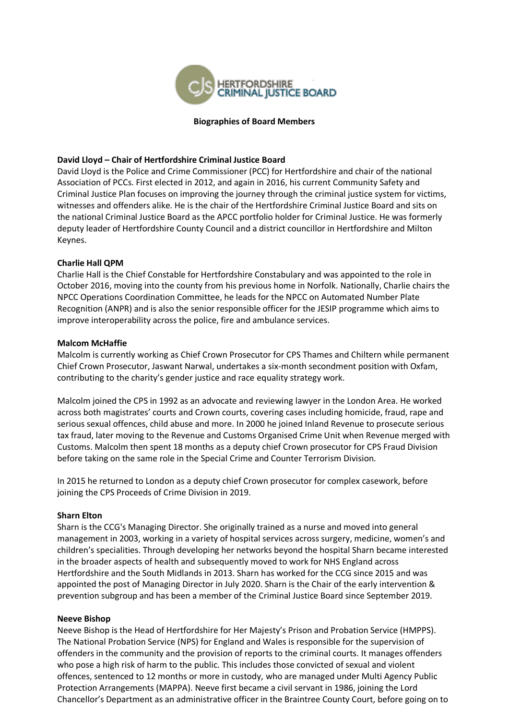

#### **Biographies of Board Members**

## **David Lloyd – Chair of Hertfordshire Criminal Justice Board**

David Lloyd is the Police and Crime Commissioner (PCC) for Hertfordshire and chair of the national Association of PCCs. First elected in 2012, and again in 2016, his current Community Safety and Criminal Justice Plan focuses on improving the journey through the criminal justice system for victims, witnesses and offenders alike. He is the chair of the Hertfordshire Criminal Justice Board and sits on the national Criminal Justice Board as the APCC portfolio holder for Criminal Justice. He was formerly deputy leader of Hertfordshire County Council and a district councillor in Hertfordshire and Milton Keynes.

# **Charlie Hall QPM**

Charlie Hall is the Chief Constable for Hertfordshire Constabulary and was appointed to the role in October 2016, moving into the county from his previous home in Norfolk. Nationally, Charlie chairs the NPCC Operations Coordination Committee, he leads for the NPCC on Automated Number Plate Recognition (ANPR) and is also the senior responsible officer for the JESIP programme which aims to improve interoperability across the police, fire and ambulance services.

## **Malcom McHaffie**

Malcolm is currently working as Chief Crown Prosecutor for CPS Thames and Chiltern while permanent Chief Crown Prosecutor, Jaswant Narwal, undertakes a six-month secondment position with Oxfam, contributing to the charity's gender justice and race equality strategy work.

Malcolm joined the CPS in 1992 as an advocate and reviewing lawyer in the London Area. He worked across both magistrates' courts and Crown courts, covering cases including homicide, fraud, rape and serious sexual offences, child abuse and more. In 2000 he joined Inland Revenue to prosecute serious tax fraud, later moving to the Revenue and Customs Organised Crime Unit when Revenue merged with Customs. Malcolm then spent 18 months as a deputy chief Crown prosecutor for CPS Fraud Division before taking on the same role in the Special Crime and Counter Terrorism Division.

In 2015 he returned to London as a deputy chief Crown prosecutor for complex casework, before joining the CPS Proceeds of Crime Division in 2019.

## **Sharn Elton**

Sharn is the CCG's Managing Director. She originally trained as a nurse and moved into general management in 2003, working in a variety of hospital services across surgery, medicine, women's and children's specialities. Through developing her networks beyond the hospital Sharn became interested in the broader aspects of health and subsequently moved to work for NHS England across Hertfordshire and the South Midlands in 2013. Sharn has worked for the CCG since 2015 and was appointed the post of Managing Director in July 2020. Sharn is the Chair of the early intervention & prevention subgroup and has been a member of the Criminal Justice Board since September 2019.

## **Neeve Bishop**

Neeve Bishop is the Head of Hertfordshire for Her Majesty's Prison and Probation Service (HMPPS). The National Probation Service (NPS) for England and Wales is responsible for the supervision of offenders in the community and the provision of reports to the criminal courts. It manages offenders who pose a high risk of harm to the public. This includes those convicted of sexual and violent offences, sentenced to 12 months or more in custody, who are managed under Multi Agency Public Protection Arrangements (MAPPA). Neeve first became a civil servant in 1986, joining the Lord Chancellor's Department as an administrative officer in the Braintree County Court, before going on to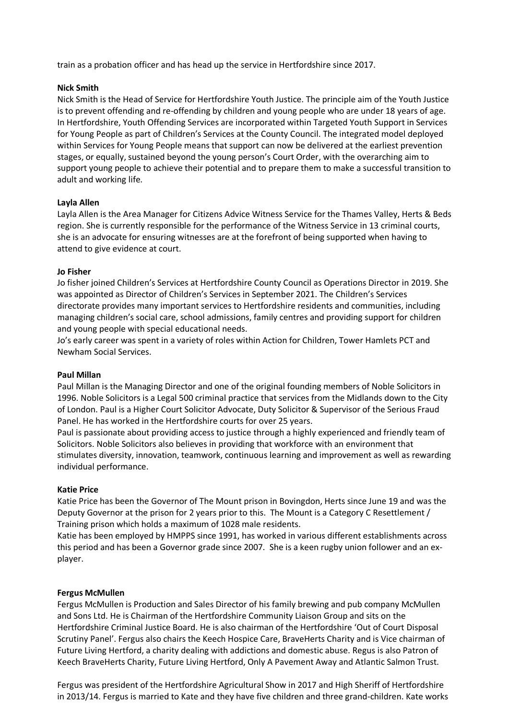train as a probation officer and has head up the service in Hertfordshire since 2017.

## **Nick Smith**

Nick Smith is the Head of Service for Hertfordshire Youth Justice. The principle aim of the Youth Justice is to prevent offending and re-offending by children and young people who are under 18 years of age. In Hertfordshire, Youth Offending Services are incorporated within Targeted Youth Support in Services for Young People as part of Children's Services at the County Council. The integrated model deployed within Services for Young People means that support can now be delivered at the earliest prevention stages, or equally, sustained beyond the young person's Court Order, with the overarching aim to support young people to achieve their potential and to prepare them to make a successful transition to adult and working life.

# **Layla Allen**

Layla Allen is the Area Manager for Citizens Advice Witness Service for the Thames Valley, Herts & Beds region. She is currently responsible for the performance of the Witness Service in 13 criminal courts, she is an advocate for ensuring witnesses are at the forefront of being supported when having to attend to give evidence at court.

## **Jo Fisher**

Jo fisher joined Children's Services at Hertfordshire County Council as Operations Director in 2019. She was appointed as Director of Children's Services in September 2021. The Children's Services directorate provides many important services to Hertfordshire residents and communities, including managing children's social care, school admissions, family centres and providing support for children and young people with special educational needs.

Jo's early career was spent in a variety of roles within Action for Children, Tower Hamlets PCT and Newham Social Services.

## **Paul Millan**

Paul Millan is the Managing Director and one of the original founding members of Noble Solicitors in 1996. Noble Solicitors is a Legal 500 criminal practice that services from the Midlands down to the City of London. Paul is a Higher Court Solicitor Advocate, Duty Solicitor & Supervisor of the Serious Fraud Panel. He has worked in the Hertfordshire courts for over 25 years.

Paul is passionate about providing access to justice through a highly experienced and friendly team of Solicitors. Noble Solicitors also believes in providing that workforce with an environment that stimulates diversity, innovation, teamwork, continuous learning and improvement as well as rewarding individual performance.

## **Katie Price**

Katie Price has been the Governor of The Mount prison in Bovingdon, Herts since June 19 and was the Deputy Governor at the prison for 2 years prior to this. The Mount is a Category C Resettlement / Training prison which holds a maximum of 1028 male residents.

Katie has been employed by HMPPS since 1991, has worked in various different establishments across this period and has been a Governor grade since 2007. She is a keen rugby union follower and an explayer.

## **Fergus McMullen**

Fergus McMullen is Production and Sales Director of his family brewing and pub company McMullen and Sons Ltd. He is Chairman of the Hertfordshire Community Liaison Group and sits on the Hertfordshire Criminal Justice Board. He is also chairman of the Hertfordshire 'Out of Court Disposal Scrutiny Panel'. Fergus also chairs the Keech Hospice Care, BraveHerts Charity and is Vice chairman of Future Living Hertford, a charity dealing with addictions and domestic abuse. Regus is also Patron of Keech BraveHerts Charity, Future Living Hertford, Only A Pavement Away and Atlantic Salmon Trust.

Fergus was president of the Hertfordshire Agricultural Show in 2017 and High Sheriff of Hertfordshire in 2013/14. Fergus is married to Kate and they have five children and three grand-children. Kate works